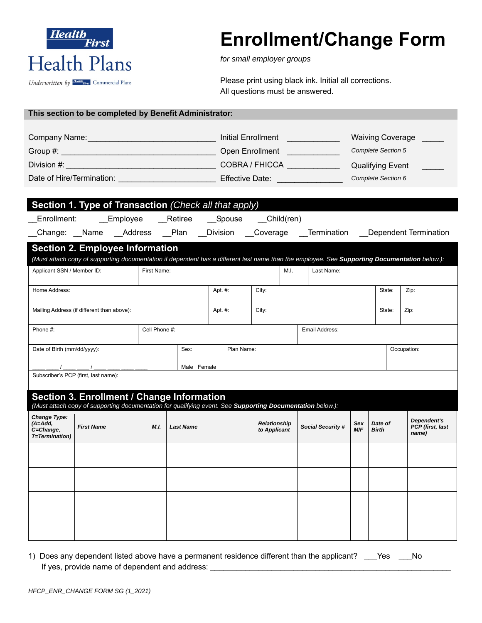

# **Enrollment/Change Form**

*for small employer groups* 

Please print using black ink. Initial all corrections. All questions must be answered.

|  |  | This section to be completed by Benefit Administrator: |
|--|--|--------------------------------------------------------|
|--|--|--------------------------------------------------------|

| Company Name:             | Initial Enrollment | <b>Waiving Coverage</b> |
|---------------------------|--------------------|-------------------------|
| Group #:                  | Open Enrollment    | Complete Section 5      |
| Division #:               | COBRA / FHICCA     | <b>Qualifying Event</b> |
| Date of Hire/Termination: | Effective Date:    | Complete Section 6      |

| Section 1. Type of Transaction (Check all that apply)                                                                                                                                                |               |                  |                           |                                     |                          |                   |                         |                                          |
|------------------------------------------------------------------------------------------------------------------------------------------------------------------------------------------------------|---------------|------------------|---------------------------|-------------------------------------|--------------------------|-------------------|-------------------------|------------------------------------------|
| __Employee ___Retiree ___Spouse ___Child(ren)<br>Enrollment:                                                                                                                                         |               |                  |                           |                                     |                          |                   |                         |                                          |
| _Change: __Name __Address __Plan __Division __Coverage __Termination __Dependent Termination                                                                                                         |               |                  |                           |                                     |                          |                   |                         |                                          |
| <b>Section 2. Employee Information</b>                                                                                                                                                               |               |                  |                           |                                     |                          |                   |                         |                                          |
| (Must attach copy of supporting documentation if dependent has a different last name than the employee. See Supporting Documentation below.):                                                        |               |                  |                           |                                     |                          |                   |                         |                                          |
| Applicant SSN / Member ID:                                                                                                                                                                           | First Name:   |                  |                           | M.I.                                | Last Name:               |                   |                         |                                          |
| Home Address:                                                                                                                                                                                        |               |                  | Apt. #:                   | City:                               |                          |                   | State:                  | Zip:                                     |
| Mailing Address (if different than above):                                                                                                                                                           |               |                  | Apt. #:                   | City:                               | State:                   |                   |                         | Zip:                                     |
| Phone #:                                                                                                                                                                                             | Cell Phone #: |                  |                           |                                     | Email Address:           |                   |                         |                                          |
| Sex:<br>Date of Birth (mm/dd/yyyy):                                                                                                                                                                  |               |                  | Plan Name:<br>Occupation: |                                     |                          |                   |                         |                                          |
| $\sqrt{2}$                                                                                                                                                                                           |               | Male Female      |                           |                                     |                          |                   |                         |                                          |
| Subscriber's PCP (first, last name):                                                                                                                                                                 |               |                  |                           |                                     |                          |                   |                         |                                          |
| Section 3. Enrollment / Change Information                                                                                                                                                           |               |                  |                           |                                     |                          |                   |                         |                                          |
| (Must attach copy of supporting documentation for qualifying event. See Supporting Documentation below.):<br>Change Type:<br>$(A = Add,$<br><b>First Name</b><br>C=Change,<br><b>T</b> =Termination) | M.L.          | <b>Last Name</b> |                           | <b>Relationship</b><br>to Applicant | <b>Social Security #</b> | Sex<br><b>M/F</b> | Date of<br><b>Birth</b> | Dependent's<br>PCP (first, last<br>name) |
|                                                                                                                                                                                                      |               |                  |                           |                                     |                          |                   |                         |                                          |
|                                                                                                                                                                                                      |               |                  |                           |                                     |                          |                   |                         |                                          |
|                                                                                                                                                                                                      |               |                  |                           |                                     |                          |                   |                         |                                          |
|                                                                                                                                                                                                      |               |                  |                           |                                     |                          |                   |                         |                                          |

|                                                | 1) Does any dependent listed above have a permanent residence different than the applicant? ___ Yes | . No No |
|------------------------------------------------|-----------------------------------------------------------------------------------------------------|---------|
| If yes, provide name of dependent and address: |                                                                                                     |         |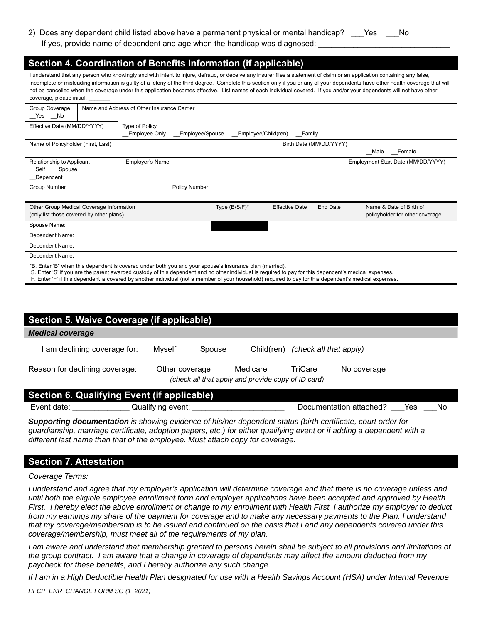2) Does any dependent child listed above have a permanent physical or mental handicap? Yes No If yes, provide name of dependent and age when the handicap was diagnosed:

| Section 4. Coordination of Benefits Information (if applicable)                                                                                                                                                                                                                                                                                                                                                                                                                                                                                                    |                                                                                                                        |                                             |                                    |                       |                 |                                                            |  |  |
|--------------------------------------------------------------------------------------------------------------------------------------------------------------------------------------------------------------------------------------------------------------------------------------------------------------------------------------------------------------------------------------------------------------------------------------------------------------------------------------------------------------------------------------------------------------------|------------------------------------------------------------------------------------------------------------------------|---------------------------------------------|------------------------------------|-----------------------|-----------------|------------------------------------------------------------|--|--|
| I understand that any person who knowingly and with intent to injure, defraud, or deceive any insurer files a statement of claim or an application containing any false,<br>incomplete or misleading information is guilty of a felony of the third degree. Complete this section only if you or any of your dependents have other health coverage that will<br>not be cancelled when the coverage under this application becomes effective. List names of each individual covered. If you and/or your dependents will not have other<br>coverage, please initial. |                                                                                                                        |                                             |                                    |                       |                 |                                                            |  |  |
| Group Coverage<br>Yes No                                                                                                                                                                                                                                                                                                                                                                                                                                                                                                                                           |                                                                                                                        | Name and Address of Other Insurance Carrier |                                    |                       |                 |                                                            |  |  |
|                                                                                                                                                                                                                                                                                                                                                                                                                                                                                                                                                                    | <b>Type of Policy</b><br>Effective Date (MM/DD/YYYY)<br>Employee Only<br>Employee/Spouse<br>Employee/Child(ren) Family |                                             |                                    |                       |                 |                                                            |  |  |
| Name of Policyholder (First, Last)                                                                                                                                                                                                                                                                                                                                                                                                                                                                                                                                 |                                                                                                                        |                                             |                                    |                       |                 | Birth Date (MM/DD/YYYY)<br>Male Female                     |  |  |
| Relationship to Applicant<br>Self Spouse<br>Dependent                                                                                                                                                                                                                                                                                                                                                                                                                                                                                                              |                                                                                                                        | <b>Employer's Name</b>                      | Employment Start Date (MM/DD/YYYY) |                       |                 |                                                            |  |  |
| <b>Group Number</b>                                                                                                                                                                                                                                                                                                                                                                                                                                                                                                                                                |                                                                                                                        |                                             | <b>Policy Number</b>               |                       |                 |                                                            |  |  |
| Other Group Medical Coverage Information<br>(only list those covered by other plans)                                                                                                                                                                                                                                                                                                                                                                                                                                                                               |                                                                                                                        |                                             | Type (B/S/F)*                      | <b>Effective Date</b> | <b>End Date</b> | Name & Date of Birth of<br>policyholder for other coverage |  |  |
| Spouse Name:                                                                                                                                                                                                                                                                                                                                                                                                                                                                                                                                                       |                                                                                                                        |                                             |                                    |                       |                 |                                                            |  |  |
| Dependent Name:                                                                                                                                                                                                                                                                                                                                                                                                                                                                                                                                                    |                                                                                                                        |                                             |                                    |                       |                 |                                                            |  |  |
| Dependent Name:                                                                                                                                                                                                                                                                                                                                                                                                                                                                                                                                                    |                                                                                                                        |                                             |                                    |                       |                 |                                                            |  |  |
| Dependent Name:                                                                                                                                                                                                                                                                                                                                                                                                                                                                                                                                                    |                                                                                                                        |                                             |                                    |                       |                 |                                                            |  |  |
| *B. Enter 'B" when this dependent is covered under both you and your spouse's insurance plan (married).<br>S. Enter 'S' if you are the parent awarded custody of this dependent and no other individual is required to pay for this dependent's medical expenses.<br>F. Enter 'F' if this dependent is covered by another individual (not a member of your household) required to pay for this dependent's medical expenses.                                                                                                                                       |                                                                                                                        |                                             |                                    |                       |                 |                                                            |  |  |
|                                                                                                                                                                                                                                                                                                                                                                                                                                                                                                                                                                    |                                                                                                                        |                                             |                                    |                       |                 |                                                            |  |  |

| Section 5. Waive Coverage (if applicable)                                                                                              |                   |  |                                          |     |    |  |  |  |
|----------------------------------------------------------------------------------------------------------------------------------------|-------------------|--|------------------------------------------|-----|----|--|--|--|
| <b>Medical coverage</b>                                                                                                                |                   |  |                                          |     |    |  |  |  |
| I am declining coverage for: Myself                                                                                                    | Spouse            |  | Child(ren) <i>(check all that apply)</i> |     |    |  |  |  |
| Reason for declining coverage: Other coverage<br>Medicare TriCare<br>No coverage<br>(check all that apply and provide copy of ID card) |                   |  |                                          |     |    |  |  |  |
| Section 6. Qualifying Event (if applicable)                                                                                            |                   |  |                                          |     |    |  |  |  |
| Event date:                                                                                                                            | Qualifying event: |  | Documentation attached?                  | Yes | No |  |  |  |

*Supporting documentation is showing evidence of his/her dependent status (birth certificate, court order for guardianship, marriage certificate, adoption papers, etc.) for either qualifying event or if adding a dependent with a different last name than that of the employee. Must attach copy for coverage.* 

#### **Section 7. Attestation**

*Coverage Terms:* 

*I understand and agree that my employer's application will determine coverage and that there is no coverage unless and until both the eligible employee enrollment form and employer applications have been accepted and approved by Health First. I hereby elect the above enrollment or change to my enrollment with Health First. I authorize my employer to deduct*  from my earnings my share of the payment for coverage and to make any necessary payments to the Plan. I understand *that my coverage/membership is to be issued and continued on the basis that I and any dependents covered under this coverage/membership, must meet all of the requirements of my plan.* 

*I am aware and understand that membership granted to persons herein shall be subject to all provisions and limitations of the group contract. I am aware that a change in coverage of dependents may affect the amount deducted from my paycheck for these benefits, and I hereby authorize any such change.* 

*If I am in a High Deductible Health Plan designated for use with a Health Savings Account (HSA) under Internal Revenue*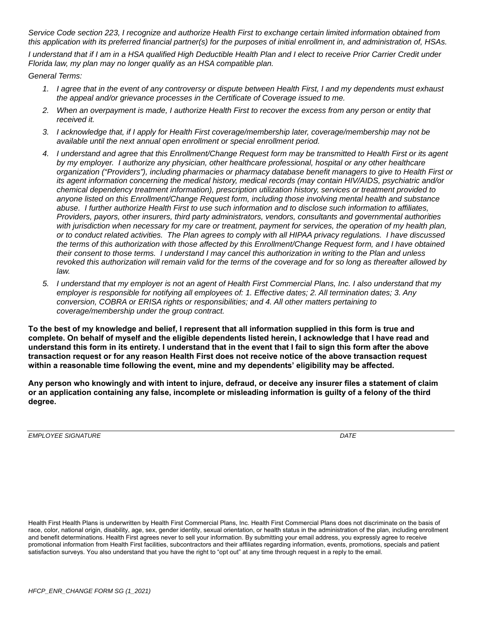*Service Code section 223, I recognize and authorize Health First to exchange certain limited information obtained from this application with its preferred financial partner(s) for the purposes of initial enrollment in, and administration of, HSAs.* 

*I understand that if I am in a HSA qualified High Deductible Health Plan and I elect to receive Prior Carrier Credit under Florida law, my plan may no longer qualify as an HSA compatible plan.* 

*General Terms:* 

- *1. I agree that in the event of any controversy or dispute between Health First, I and my dependents must exhaust the appeal and/or grievance processes in the Certificate of Coverage issued to me.*
- *2. When an overpayment is made, I authorize Health First to recover the excess from any person or entity that received it.*
- *3. I acknowledge that, if I apply for Health First coverage/membership later, coverage/membership may not be available until the next annual open enrollment or special enrollment period.*
- *4. I understand and agree that this Enrollment/Change Request form may be transmitted to Health First or its agent by my employer. I authorize any physician, other healthcare professional, hospital or any other healthcare organization ("Providers"), including pharmacies or pharmacy database benefit managers to give to Health First or its agent information concerning the medical history, medical records (may contain HIV/AIDS, psychiatric and/or chemical dependency treatment information), prescription utilization history, services or treatment provided to anyone listed on this Enrollment/Change Request form, including those involving mental health and substance abuse. I further authorize Health First to use such information and to disclose such information to affiliates, Providers, payors, other insurers, third party administrators, vendors, consultants and governmental authorities*  with jurisdiction when necessary for my care or treatment, payment for services, the operation of my health plan, *or to conduct related activities. The Plan agrees to comply with all HIPAA privacy regulations. I have discussed the terms of this authorization with those affected by this Enrollment/Change Request form, and I have obtained their consent to those terms. I understand I may cancel this authorization in writing to the Plan and unless revoked this authorization will remain valid for the terms of the coverage and for so long as thereafter allowed by law.*
- *5. I understand that my employer is not an agent of Health First Commercial Plans, Inc. I also understand that my employer is responsible for notifying all employees of: 1. Effective dates; 2. All termination dates; 3. Any conversion, COBRA or ERISA rights or responsibilities; and 4. All other matters pertaining to coverage/membership under the group contract.*

**To the best of my knowledge and belief, I represent that all information supplied in this form is true and complete. On behalf of myself and the eligible dependents listed herein, I acknowledge that I have read and understand this form in its entirety. I understand that in the event that I fail to sign this form after the above transaction request or for any reason Health First does not receive notice of the above transaction request within a reasonable time following the event, mine and my dependents' eligibility may be affected.** 

**Any person who knowingly and with intent to injure, defraud, or deceive any insurer files a statement of claim or an application containing any false, incomplete or misleading information is guilty of a felony of the third degree.** 

*EMPLOYEE SIGNATURE*  $\blacksquare$ 

Health First Health Plans is underwritten by Health First Commercial Plans, Inc. Health First Commercial Plans does not discriminate on the basis of race, color, national origin, disability, age, sex, gender identity, sexual orientation, or health status in the administration of the plan, including enrollment and benefit determinations. Health First agrees never to sell your information. By submitting your email address, you expressly agree to receive promotional information from Health First facilities, subcontractors and their affiliates regarding information, events, promotions, specials and patient satisfaction surveys. You also understand that you have the right to "opt out" at any time through request in a reply to the email.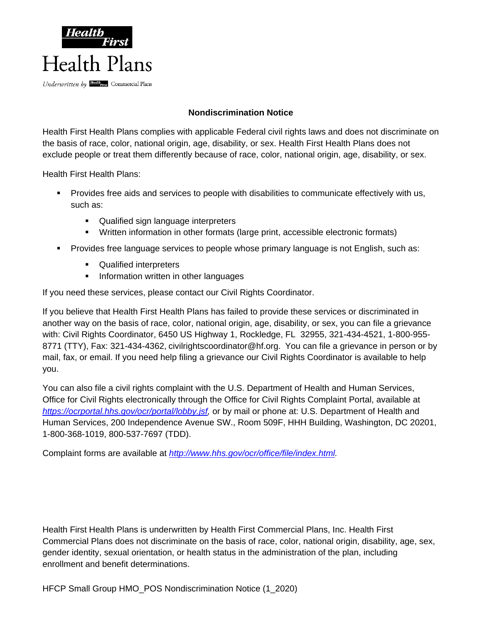

## **Nondiscrimination Notice**

Health First Health Plans complies with applicable Federal civil rights laws and does not discriminate on the basis of race, color, national origin, age, disability, or sex. Health First Health Plans does not exclude people or treat them differently because of race, color, national origin, age, disability, or sex.

Health First Health Plans:

- **Provides free aids and services to people with disabilities to communicate effectively with us,** such as:
	- **Qualified sign language interpreters**
	- Written information in other formats (large print, accessible electronic formats)
- Provides free language services to people whose primary language is not English, such as:
	- **Qualified interpreters**
	- **Information written in other languages**

If you need these services, please contact our Civil Rights Coordinator.

If you believe that Health First Health Plans has failed to provide these services or discriminated in another way on the basis of race, color, national origin, age, disability, or sex, you can file a grievance with: Civil Rights Coordinator, 6450 US Highway 1, Rockledge, FL 32955, 321-434-4521, 1-800-955- 8771 (TTY), Fax: 321-434-4362, civilrightscoordinator@hf.org. You can file a grievance in person or by mail, fax, or email. If you need help filing a grievance our Civil Rights Coordinator is available to help you.

You can also file a civil rights complaint with the U.S. Department of Health and Human Services, Office for Civil Rights electronically through the Office for Civil Rights Complaint Portal, available at *https://ocrportal.hhs.gov/ocr/portal/lobby.jsf,* or by mail or phone at: U.S. Department of Health and Human Services, 200 Independence Avenue SW., Room 509F, HHH Building, Washington, DC 20201, 1-800-368-1019, 800-537-7697 (TDD).

Complaint forms are available at *http://www.hhs.gov/ocr/office/file/index.html.*

Health First Health Plans is underwritten by Health First Commercial Plans, Inc. Health First Commercial Plans does not discriminate on the basis of race, color, national origin, disability, age, sex, gender identity, sexual orientation, or health status in the administration of the plan, including enrollment and benefit determinations.

HFCP Small Group HMO\_POS Nondiscrimination Notice (1\_2020)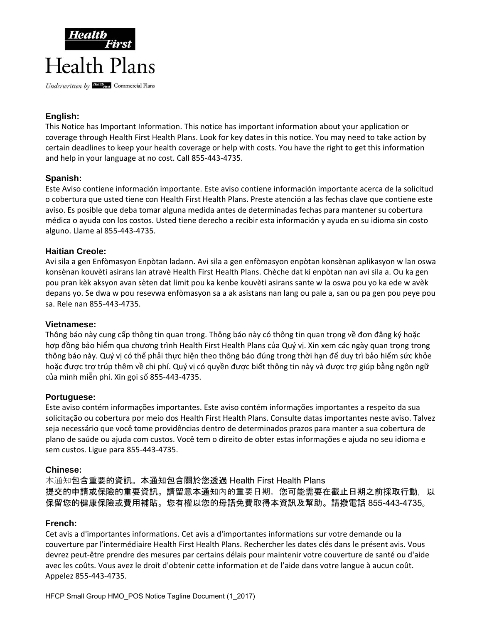

## **English:**

This Notice has Important Information. This notice has important information about your application or coverage through Health First Health Plans. Look for key dates in this notice. You may need to take action by certain deadlines to keep your health coverage or help with costs. You have the right to get this information and help in your language at no cost. Call 855‐443‐4735.

## **Spanish:**

Este Aviso contiene información importante. Este aviso contiene información importante acerca de la solicitud o cobertura que usted tiene con Health First Health Plans. Preste atención a las fechas clave que contiene este aviso. Es posible que deba tomar alguna medida antes de determinadas fechas para mantener su cobertura médica o ayuda con los costos. Usted tiene derecho a recibir esta información y ayuda en su idioma sin costo alguno. Llame al 855‐443‐4735.

## **Haitian Creole:**

Avi sila a gen Enfòmasyon Enpòtan ladann. Avi sila a gen enfòmasyon enpòtan konsènan aplikasyon w lan oswa konsènan kouvèti asirans lan atravè Health First Health Plans. Chèche dat ki enpòtan nan avi sila a. Ou ka gen pou pran kèk aksyon avan sèten dat limit pou ka kenbe kouvèti asirans sante w la oswa pou yo ka ede w avèk depans yo. Se dwa w pou resevwa enfòmasyon sa a ak asistans nan lang ou pale a, san ou pa gen pou peye pou sa. Rele nan 855‐443‐4735.

## **Vietnamese:**

Thông báo này cung cấp thông tin quan trọng. Thông báo này có thông tin quan trọng về đơn đăng ký hoặc hợp đồng bảo hiểm qua chương trình Health First Health Plans của Quý vị. Xin xem các ngày quan trọng trong thông báo này. Quý vị có thể phải thực hiện theo thông báo đúng trong thời hạn để duy trì bảo hiểm sức khỏe hoặc được trợ trúp thêm về chi phí. Quý vị có quyền được biết thông tin này và được trợ giúp bằng ngôn ngữ của mình miễn phí. Xin gọi số 855‐443‐4735.

## **Portuguese:**

Este aviso contém informações importantes. Este aviso contém informações importantes a respeito da sua solicitação ou cobertura por meio dos Health First Health Plans. Consulte datas importantes neste aviso. Talvez seja necessário que você tome providências dentro de determinados prazos para manter a sua cobertura de plano de saúde ou ajuda com custos. Você tem o direito de obter estas informações e ajuda no seu idioma e sem custos. Ligue para 855‐443‐4735.

#### **Chinese:**

本通知包含重要的資訊。本通知包含關於您透過 Health First Health Plans 提交的申請或保險的重要資訊。請留意本通知內的重要日期。您可能需要在截止日期之前採取行動,以 保留您的健康保險或費用補貼。您有權以您的母語免費取得本資訊及幫助。請撥電話 855-443-4735。

## **French:**

Cet avis a d'importantes informations. Cet avis a d'importantes informations sur votre demande ou la couverture par l'intermédiaire Health First Health Plans. Rechercher les dates clés dans le présent avis. Vous devrez peut‐être prendre des mesures par certains délais pour maintenir votre couverture de santé ou d'aide avec les coûts. Vous avez le droit d'obtenir cette information et de l'aide dans votre langue à aucun coût. Appelez 855‐443‐4735.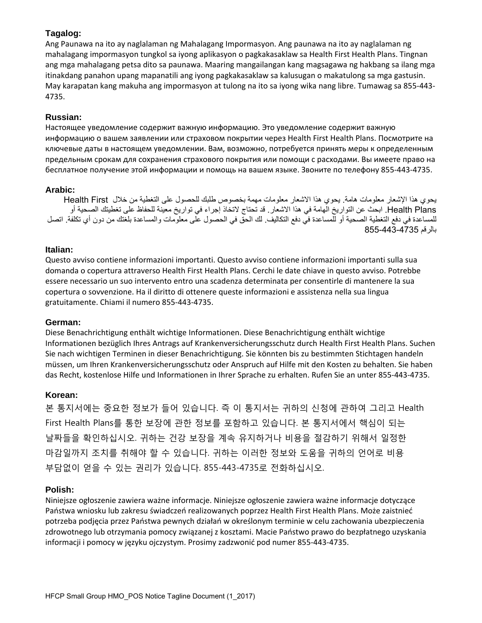## **Tagalog:**

Ang Paunawa na ito ay naglalaman ng Mahalagang Impormasyon. Ang paunawa na ito ay naglalaman ng mahalagang impormasyon tungkol sa iyong aplikasyon o pagkakasaklaw sa Health First Health Plans. Tingnan ang mga mahalagang petsa dito sa paunawa. Maaring mangailangan kang magsagawa ng hakbang sa ilang mga itinakdang panahon upang mapanatili ang iyong pagkakasaklaw sa kalusugan o makatulong sa mga gastusin. May karapatan kang makuha ang impormasyon at tulong na ito sa iyong wika nang libre. Tumawag sa 855‐443‐ 4735.

### **Russian:**

Настоящее уведомление содержит важную информацию. Это уведомление содержит важную информацию о вашем заявлении или страховом покрытии через Health First Health Plans. Посмотрите на ключевые даты в настоящем уведомлении. Вам, возможно, потребуется принять меры к определенным предельным срокам для сохранения страхового покрытия или помощи с расходами. Вы имеете право на бесплатное получение этой информации и помощь на вашем языке. Звоните по телефону 855‐443‐4735.

#### **Arabic:**

يحوي ھذا اإلشعار معلومات ھامة. يحوي ھذا االشعار معلومات مھمة بخصوص طلبك للحصول على التغطية من خالل First Health Health Plans. ابحث عن التواريخ الھامة في ھذا الاشعار. قد تحتاج لاتخاذ إجراء في تواريخ معينة للحفاظ على تغطيتك الصحية أو للمساعدة في دفع التغطية الصحية أو للمساعدة في دفع التكاليف. لك الحق في الحصول على معلومات والمساعدة بلغتك من دون أي تكلفة. اتصل بالرقم 855-443-4735

#### **Italian:**

Questo avviso contiene informazioni importanti. Questo avviso contiene informazioni importanti sulla sua domanda o copertura attraverso Health First Health Plans. Cerchi le date chiave in questo avviso. Potrebbe essere necessario un suo intervento entro una scadenza determinata per consentirle di mantenere la sua copertura o sovvenzione. Ha il diritto di ottenere queste informazioni e assistenza nella sua lingua gratuitamente. Chiami il numero 855‐443‐4735.

#### **German:**

Diese Benachrichtigung enthält wichtige Informationen. Diese Benachrichtigung enthält wichtige Informationen bezüglich Ihres Antrags auf Krankenversicherungsschutz durch Health First Health Plans. Suchen Sie nach wichtigen Terminen in dieser Benachrichtigung. Sie könnten bis zu bestimmten Stichtagen handeln müssen, um Ihren Krankenversicherungsschutz oder Anspruch auf Hilfe mit den Kosten zu behalten. Sie haben das Recht, kostenlose Hilfe und Informationen in Ihrer Sprache zu erhalten. Rufen Sie an unter 855‐443‐4735.

## **Korean:**

본 통지서에는 중요한 정보가 들어 있습니다. 즉 이 통지서는 귀하의 신청에 관하여 그리고 Health First Health Plans를 통한 보장에 관한 정보를 포함하고 있습니다. 본 통지서에서 핵심이 되는 날짜들을 확인하십시오. 귀하는 건강 보장을 계속 유지하거나 비용을 절감하기 위해서 일정한 마감일까지 조치를 취해야 할 수 있습니다. 귀하는 이러한 정보와 도움을 귀하의 언어로 비용 부담없이 얻을 수 있는 권리가 있습니다. 855-443-4735로 전화하십시오.

## **Polish:**

Niniejsze ogłoszenie zawiera ważne informacje. Niniejsze ogłoszenie zawiera ważne informacje dotyczące Państwa wniosku lub zakresu świadczeń realizowanych poprzez Health First Health Plans. Może zaistnieć potrzeba podjęcia przez Państwa pewnych działań w określonym terminie w celu zachowania ubezpieczenia zdrowotnego lub otrzymania pomocy związanej z kosztami. Macie Państwo prawo do bezpłatnego uzyskania informacji i pomocy w języku ojczystym. Prosimy zadzwonić pod numer 855‐443‐4735.